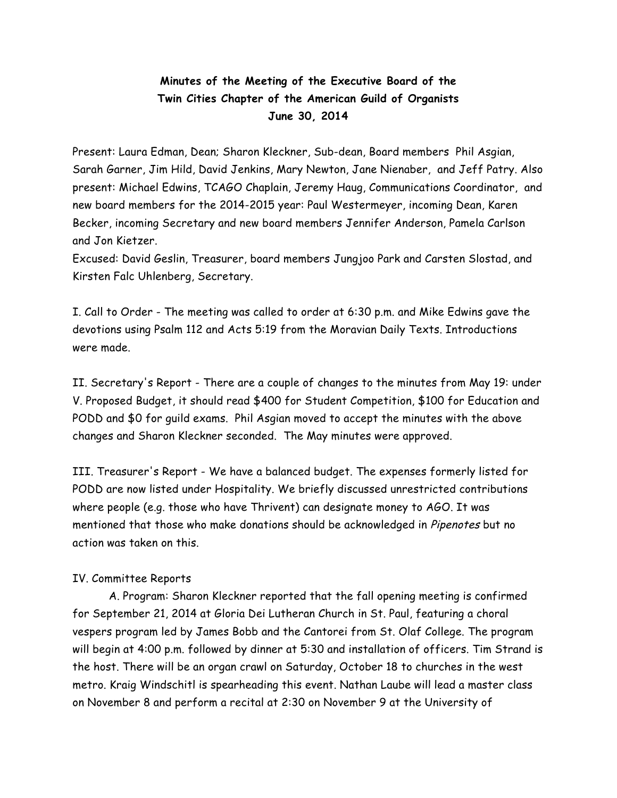## **Minutes of the Meeting of the Executive Board of the Twin Cities Chapter of the American Guild of Organists June 30, 2014**

Present: Laura Edman, Dean; Sharon Kleckner, Sub-dean, Board members Phil Asgian, Sarah Garner, Jim Hild, David Jenkins, Mary Newton, Jane Nienaber, and Jeff Patry. Also present: Michael Edwins, TCAGO Chaplain, Jeremy Haug, Communications Coordinator, and new board members for the 2014-2015 year: Paul Westermeyer, incoming Dean, Karen Becker, incoming Secretary and new board members Jennifer Anderson, Pamela Carlson and Jon Kietzer.

Excused: David Geslin, Treasurer, board members Jungjoo Park and Carsten Slostad, and Kirsten Falc Uhlenberg, Secretary.

I. Call to Order - The meeting was called to order at 6:30 p.m. and Mike Edwins gave the devotions using Psalm 112 and Acts 5:19 from the Moravian Daily Texts. Introductions were made.

II. Secretary's Report - There are a couple of changes to the minutes from May 19: under V. Proposed Budget, it should read \$400 for Student Competition, \$100 for Education and PODD and \$0 for guild exams. Phil Asgian moved to accept the minutes with the above changes and Sharon Kleckner seconded. The May minutes were approved.

III. Treasurer's Report - We have a balanced budget. The expenses formerly listed for PODD are now listed under Hospitality. We briefly discussed unrestricted contributions where people (e.g. those who have Thrivent) can designate money to AGO. It was mentioned that those who make donations should be acknowledged in Pipenotes but no action was taken on this.

## IV. Committee Reports

A. Program: Sharon Kleckner reported that the fall opening meeting is confirmed for September 21, 2014 at Gloria Dei Lutheran Church in St. Paul, featuring a choral vespers program led by James Bobb and the Cantorei from St. Olaf College. The program will begin at 4:00 p.m. followed by dinner at 5:30 and installation of officers. Tim Strand is the host. There will be an organ crawl on Saturday, October 18 to churches in the west metro. Kraig Windschitl is spearheading this event. Nathan Laube will lead a master class on November 8 and perform a recital at 2:30 on November 9 at the University of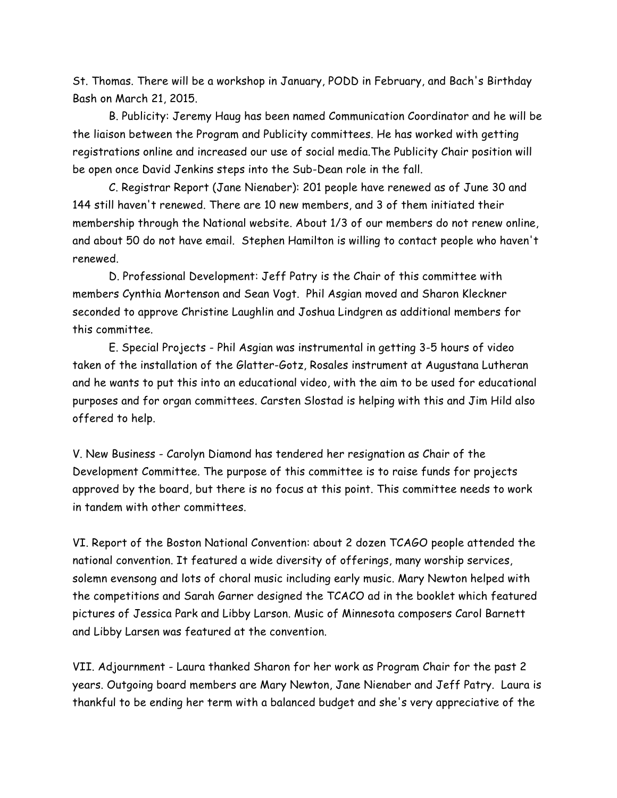St. Thomas. There will be a workshop in January, PODD in February, and Bach's Birthday Bash on March 21, 2015.

B. Publicity: Jeremy Haug has been named Communication Coordinator and he will be the liaison between the Program and Publicity committees. He has worked with getting registrations online and increased our use of social media.The Publicity Chair position will be open once David Jenkins steps into the Sub-Dean role in the fall.

C. Registrar Report (Jane Nienaber): 201 people have renewed as of June 30 and 144 still haven't renewed. There are 10 new members, and 3 of them initiated their membership through the National website. About 1/3 of our members do not renew online, and about 50 do not have email. Stephen Hamilton is willing to contact people who haven't renewed.

D. Professional Development: Jeff Patry is the Chair of this committee with members Cynthia Mortenson and Sean Vogt. Phil Asgian moved and Sharon Kleckner seconded to approve Christine Laughlin and Joshua Lindgren as additional members for this committee.

E. Special Projects - Phil Asgian was instrumental in getting 3-5 hours of video taken of the installation of the Glatter-Gotz, Rosales instrument at Augustana Lutheran and he wants to put this into an educational video, with the aim to be used for educational purposes and for organ committees. Carsten Slostad is helping with this and Jim Hild also offered to help.

V. New Business - Carolyn Diamond has tendered her resignation as Chair of the Development Committee. The purpose of this committee is to raise funds for projects approved by the board, but there is no focus at this point. This committee needs to work in tandem with other committees.

VI. Report of the Boston National Convention: about 2 dozen TCAGO people attended the national convention. It featured a wide diversity of offerings, many worship services, solemn evensong and lots of choral music including early music. Mary Newton helped with the competitions and Sarah Garner designed the TCACO ad in the booklet which featured pictures of Jessica Park and Libby Larson. Music of Minnesota composers Carol Barnett and Libby Larsen was featured at the convention.

VII. Adjournment - Laura thanked Sharon for her work as Program Chair for the past 2 years. Outgoing board members are Mary Newton, Jane Nienaber and Jeff Patry. Laura is thankful to be ending her term with a balanced budget and she's very appreciative of the